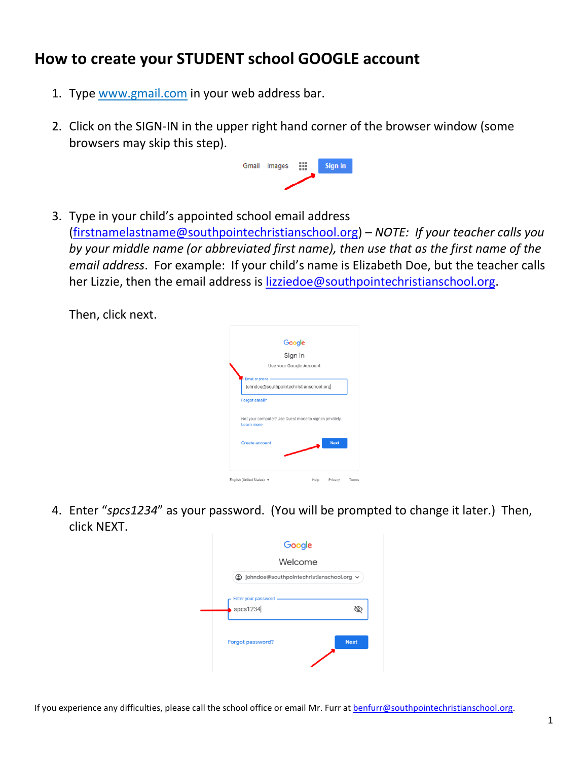## **How to create your STUDENT school GOOGLE account**

- 1. Type [www.gmail.com](http://www.gmail.com/) in your web address bar.
- 2. Click on the SIGN-IN in the upper right hand corner of the browser window (some browsers may skip this step).



3. Type in your child's appointed school email address [\(firstnamelastname@southpointechristianschool.org\)](mailto:firstnamelastname@southpointechristianschool.org) – *NOTE: If your teacher calls you by your middle name (or abbreviated first name), then use that as the first name of the email address*. For example: If your child's name is Elizabeth Doe, but the teacher calls her Lizzie, then the email address is [lizziedoe@southpointechristianschool.org.](mailto:lizziedoe@southpointechristianschool.org)

Then, click next.

|                                                                              | Google                  |  |
|------------------------------------------------------------------------------|-------------------------|--|
|                                                                              | Sign in                 |  |
|                                                                              | Use your Google Account |  |
| Email or phone<br>johndoe@southpointechristianschool.org                     |                         |  |
| <b>Forgot email?</b>                                                         |                         |  |
|                                                                              |                         |  |
| Not your computer? Use Guest mode to sign in privately.<br><b>Learn more</b> |                         |  |
| <b>Create account</b>                                                        | <b>Next</b>             |  |
|                                                                              |                         |  |

4. Enter "*spcs1234*" as your password. (You will be prompted to change it later.) Then, click NEXT.